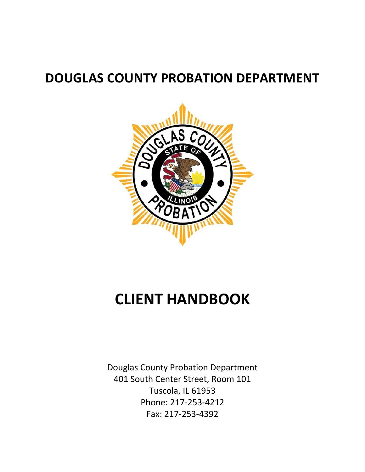# **DOUGLAS COUNTY PROBATION DEPARTMENT**



# **CLIENT HANDBOOK**

Douglas County Probation Department 401 South Center Street, Room 101 Tuscola, IL 61953 Phone: 217-253-4212 Fax: 217-253-4392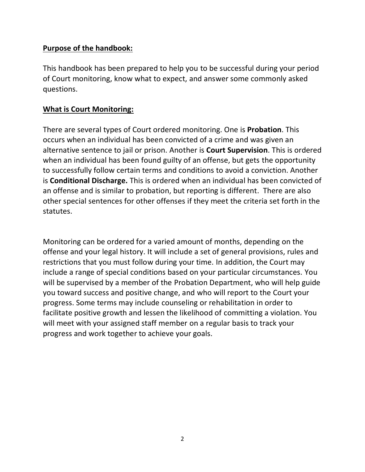#### **Purpose of the handbook:**

This handbook has been prepared to help you to be successful during your period of Court monitoring, know what to expect, and answer some commonly asked questions.

#### **What is Court Monitoring:**

There are several types of Court ordered monitoring. One is **Probation**. This occurs when an individual has been convicted of a crime and was given an alternative sentence to jail or prison. Another is **Court Supervision**. This is ordered when an individual has been found guilty of an offense, but gets the opportunity to successfully follow certain terms and conditions to avoid a conviction. Another is **Conditional Discharge.** This is ordered when an individual has been convicted of an offense and is similar to probation, but reporting is different. There are also other special sentences for other offenses if they meet the criteria set forth in the statutes.

Monitoring can be ordered for a varied amount of months, depending on the offense and your legal history. It will include a set of general provisions, rules and restrictions that you must follow during your time. In addition, the Court may include a range of special conditions based on your particular circumstances. You will be supervised by a member of the Probation Department, who will help guide you toward success and positive change, and who will report to the Court your progress. Some terms may include counseling or rehabilitation in order to facilitate positive growth and lessen the likelihood of committing a violation. You will meet with your assigned staff member on a regular basis to track your progress and work together to achieve your goals.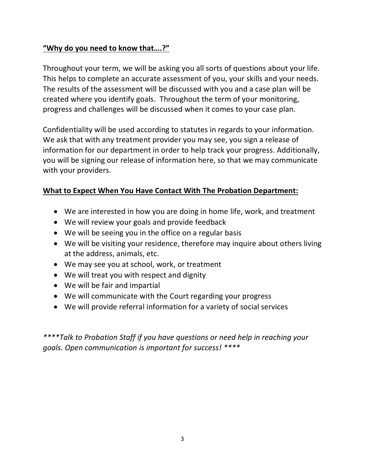## **"Why do you need to know that….?"**

Throughout your term, we will be asking you all sorts of questions about your life. This helps to complete an accurate assessment of you, your skills and your needs. The results of the assessment will be discussed with you and a case plan will be created where you identify goals. Throughout the term of your monitoring, progress and challenges will be discussed when it comes to your case plan.

Confidentiality will be used according to statutes in regards to your information. We ask that with any treatment provider you may see, you sign a release of information for our department in order to help track your progress. Additionally, you will be signing our release of information here, so that we may communicate with your providers.

# **What to Expect When You Have Contact With The Probation Department:**

- We are interested in how you are doing in home life, work, and treatment
- We will review your goals and provide feedback
- We will be seeing you in the office on a regular basis
- We will be visiting your residence, therefore may inquire about others living at the address, animals, etc.
- We may see you at school, work, or treatment
- We will treat you with respect and dignity
- We will be fair and impartial
- We will communicate with the Court regarding your progress
- We will provide referral information for a variety of social services

*\*\*\*\*Talk to Probation Staff if you have questions or need help in reaching your goals. Open communication is important for success! \*\*\*\**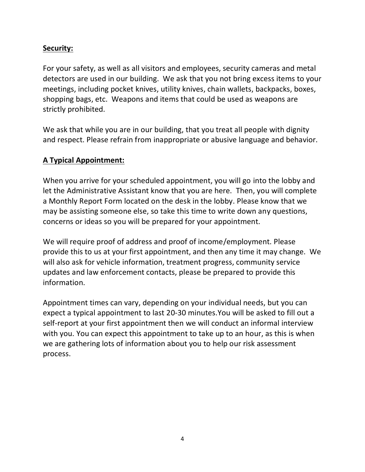## **Security:**

For your safety, as well as all visitors and employees, security cameras and metal detectors are used in our building. We ask that you not bring excess items to your meetings, including pocket knives, utility knives, chain wallets, backpacks, boxes, shopping bags, etc. Weapons and items that could be used as weapons are strictly prohibited.

We ask that while you are in our building, that you treat all people with dignity and respect. Please refrain from inappropriate or abusive language and behavior.

## **A Typical Appointment:**

When you arrive for your scheduled appointment, you will go into the lobby and let the Administrative Assistant know that you are here. Then, you will complete a Monthly Report Form located on the desk in the lobby. Please know that we may be assisting someone else, so take this time to write down any questions, concerns or ideas so you will be prepared for your appointment.

We will require proof of address and proof of income/employment. Please provide this to us at your first appointment, and then any time it may change. We will also ask for vehicle information, treatment progress, community service updates and law enforcement contacts, please be prepared to provide this information.

Appointment times can vary, depending on your individual needs, but you can expect a typical appointment to last 20-30 minutes.You will be asked to fill out a self-report at your first appointment then we will conduct an informal interview with you. You can expect this appointment to take up to an hour, as this is when we are gathering lots of information about you to help our risk assessment process.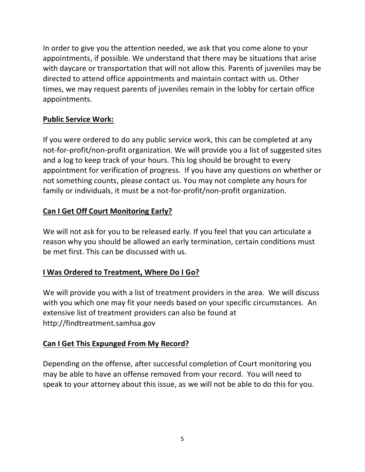In order to give you the attention needed, we ask that you come alone to your appointments, if possible. We understand that there may be situations that arise with daycare or transportation that will not allow this. Parents of juveniles may be directed to attend office appointments and maintain contact with us. Other times, we may request parents of juveniles remain in the lobby for certain office appointments.

# **Public Service Work:**

If you were ordered to do any public service work, this can be completed at any not-for-profit/non-profit organization. We will provide you a list of suggested sites and a log to keep track of your hours. This log should be brought to every appointment for verification of progress. If you have any questions on whether or not something counts, please contact us. You may not complete any hours for family or individuals, it must be a not-for-profit/non-profit organization.

# **Can I Get Off Court Monitoring Early?**

We will not ask for you to be released early. If you feel that you can articulate a reason why you should be allowed an early termination, certain conditions must be met first. This can be discussed with us.

# **I Was Ordered to Treatment, Where Do I Go?**

We will provide you with a list of treatment providers in the area. We will discuss with you which one may fit your needs based on your specific circumstances. An extensive list of treatment providers can also be found at http://findtreatment.samhsa.gov

## **Can I Get This Expunged From My Record?**

Depending on the offense, after successful completion of Court monitoring you may be able to have an offense removed from your record. You will need to speak to your attorney about this issue, as we will not be able to do this for you.